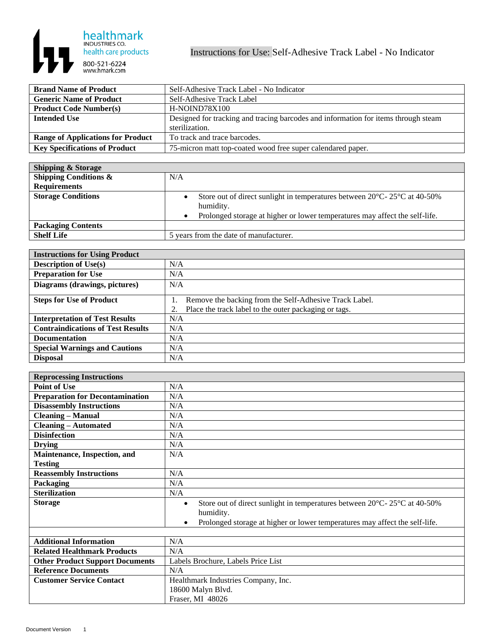

| <b>Brand Name of Product</b>             | Self-Adhesive Track Label - No Indicator                                           |
|------------------------------------------|------------------------------------------------------------------------------------|
| <b>Generic Name of Product</b>           | Self-Adhesive Track Label                                                          |
| <b>Product Code Number(s)</b>            | H-NOIND78X100                                                                      |
| Intended Use                             | Designed for tracking and tracing barcodes and information for items through steam |
|                                          | sterilization.                                                                     |
| <b>Range of Applications for Product</b> | To track and trace barcodes.                                                       |
| <b>Key Specifications of Product</b>     | 75-micron matt top-coated wood free super calendared paper.                        |

| <b>Shipping &amp; Storage</b>    |                                                                                                            |
|----------------------------------|------------------------------------------------------------------------------------------------------------|
| <b>Shipping Conditions &amp;</b> | N/A                                                                                                        |
| <b>Requirements</b>              |                                                                                                            |
| <b>Storage Conditions</b>        | Store out of direct sunlight in temperatures between $20^{\circ}$ C- $25^{\circ}$ C at 40-50%<br>humidity. |
|                                  | Prolonged storage at higher or lower temperatures may affect the self-life.                                |
| <b>Packaging Contents</b>        |                                                                                                            |
| <b>Shelf Life</b>                | 5 years from the date of manufacturer.                                                                     |

| <b>Instructions for Using Product</b>    |                                                                                                                 |
|------------------------------------------|-----------------------------------------------------------------------------------------------------------------|
| <b>Description of Use(s)</b>             | N/A                                                                                                             |
| <b>Preparation for Use</b>               | N/A                                                                                                             |
| Diagrams (drawings, pictures)            | N/A                                                                                                             |
| <b>Steps for Use of Product</b>          | Remove the backing from the Self-Adhesive Track Label.<br>Place the track label to the outer packaging or tags. |
| <b>Interpretation of Test Results</b>    | N/A                                                                                                             |
| <b>Contraindications of Test Results</b> | N/A                                                                                                             |
| <b>Documentation</b>                     | N/A                                                                                                             |
| <b>Special Warnings and Cautions</b>     | N/A                                                                                                             |
| <b>Disposal</b>                          | N/A                                                                                                             |

| <b>Reprocessing Instructions</b>       |                                                                                                            |
|----------------------------------------|------------------------------------------------------------------------------------------------------------|
| <b>Point of Use</b>                    | N/A                                                                                                        |
| <b>Preparation for Decontamination</b> | N/A                                                                                                        |
| <b>Disassembly Instructions</b>        | N/A                                                                                                        |
| <b>Cleaning - Manual</b>               | N/A                                                                                                        |
| <b>Cleaning – Automated</b>            | N/A                                                                                                        |
| <b>Disinfection</b>                    | N/A                                                                                                        |
| <b>Drying</b>                          | N/A                                                                                                        |
| Maintenance, Inspection, and           | N/A                                                                                                        |
| <b>Testing</b>                         |                                                                                                            |
| <b>Reassembly Instructions</b>         | N/A                                                                                                        |
| Packaging                              | N/A                                                                                                        |
| <b>Sterilization</b>                   | N/A                                                                                                        |
| <b>Storage</b>                         | Store out of direct sunlight in temperatures between $20^{\circ}$ C- $25^{\circ}$ C at 40-50%<br>$\bullet$ |
|                                        | humidity.                                                                                                  |
|                                        | Prolonged storage at higher or lower temperatures may affect the self-life.<br>$\bullet$                   |
|                                        |                                                                                                            |
| <b>Additional Information</b>          | N/A                                                                                                        |
| <b>Related Healthmark Products</b>     | N/A                                                                                                        |
| <b>Other Product Support Documents</b> | Labels Brochure, Labels Price List                                                                         |
| <b>Reference Documents</b>             | N/A                                                                                                        |
| <b>Customer Service Contact</b>        | Healthmark Industries Company, Inc.                                                                        |
|                                        | 18600 Malyn Blvd.                                                                                          |
|                                        | Fraser, MI 48026                                                                                           |